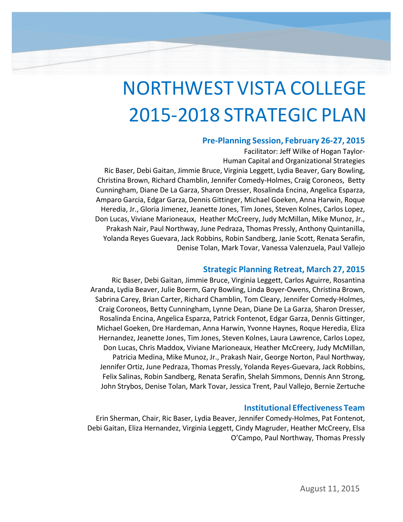# NORTHWEST VISTA COLLEGE 2015-2018 STRATEGIC PLAN

### **Pre-Planning Session, February 26-27, 2015**

Facilitator: Jeff Wilke of Hogan Taylor-Human Capital and Organizational Strategies

Ric Baser, Debi Gaitan, Jimmie Bruce, Virginia Leggett, Lydia Beaver, Gary Bowling, Christina Brown, Richard Chamblin, Jennifer Comedy-Holmes, Craig Coroneos, Betty Cunningham, Diane De La Garza, Sharon Dresser, Rosalinda Encina, Angelica Esparza, Amparo Garcia, Edgar Garza, Dennis Gittinger, Michael Goeken, Anna Harwin, Roque Heredia, Jr., Gloria Jimenez, Jeanette Jones, Tim Jones, Steven Kolnes, Carlos Lopez, Don Lucas, Viviane Marioneaux, Heather McCreery, Judy McMillan, Mike Munoz, Jr., Prakash Nair, Paul Northway, June Pedraza, Thomas Pressly, Anthony Quintanilla, Yolanda Reyes Guevara, Jack Robbins, Robin Sandberg, Janie Scott, Renata Serafin, Denise Tolan, Mark Tovar, Vanessa Valenzuela, Paul Vallejo

# **Strategic Planning Retreat, March 27, 2015**

Ric Baser, Debi Gaitan, Jimmie Bruce, Virginia Leggett, Carlos Aguirre, Rosantina Aranda, Lydia Beaver, Julie Boerm, Gary Bowling, Linda Boyer-Owens, Christina Brown, Sabrina Carey, Brian Carter, Richard Chamblin, Tom Cleary, Jennifer Comedy-Holmes, Craig Coroneos, Betty Cunningham, Lynne Dean, Diane De La Garza, Sharon Dresser, Rosalinda Encina, Angelica Esparza, Patrick Fontenot, Edgar Garza, Dennis Gittinger, Michael Goeken, Dre Hardeman, Anna Harwin, Yvonne Haynes, Roque Heredia, Eliza Hernandez, Jeanette Jones, Tim Jones, Steven Kolnes, Laura Lawrence, Carlos Lopez, Don Lucas, Chris Maddox, Viviane Marioneaux, Heather McCreery, Judy McMillan, Patricia Medina, Mike Munoz, Jr., Prakash Nair, George Norton, Paul Northway, Jennifer Ortiz, June Pedraza, Thomas Pressly, Yolanda Reyes-Guevara, Jack Robbins, Felix Salinas, Robin Sandberg, Renata Serafin, Shelah Simmons, Dennis Ann Strong, John Strybos, Denise Tolan, Mark Tovar, Jessica Trent, Paul Vallejo, Bernie Zertuche

# **Institutional Effectiveness Team**

Erin Sherman, Chair, Ric Baser, Lydia Beaver, Jennifer Comedy-Holmes, Pat Fontenot, Debi Gaitan, Eliza Hernandez, Virginia Leggett, Cindy Magruder, Heather McCreery, Elsa O'Campo, Paul Northway, Thomas Pressly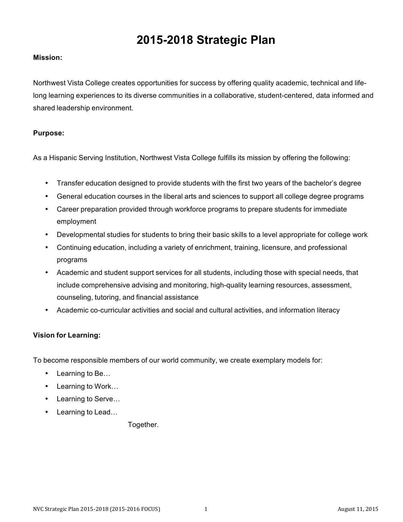# **2015-2018 Strategic Plan**

#### **Mission:**

Northwest Vista College creates opportunities for success by offering quality academic, technical and lifelong learning experiences to its diverse communities in a collaborative, student-centered, data informed and shared leadership environment.

#### **Purpose:**

As a Hispanic Serving Institution, Northwest Vista College fulfills its mission by offering the following:

- Transfer education designed to provide students with the first two years of the bachelor's degree
- General education courses in the liberal arts and sciences to support all college degree programs
- Career preparation provided through workforce programs to prepare students for immediate employment
- Developmental studies for students to bring their basic skills to a level appropriate for college work
- Continuing education, including a variety of enrichment, training, licensure, and professional programs
- Academic and student support services for all students, including those with special needs, that include comprehensive advising and monitoring, high-quality learning resources, assessment, counseling, tutoring, and financial assistance
- Academic co-curricular activities and social and cultural activities, and information literacy

#### **Vision for Learning:**

To become responsible members of our world community, we create exemplary models for:

- Learning to Be...
- Learning to Work…
- Learning to Serve…
- Learning to Lead…

Together.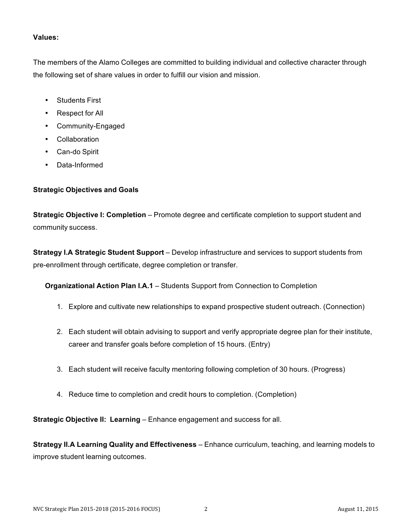#### **Values:**

The members of the Alamo Colleges are committed to building individual and collective character through the following set of share values in order to fulfill our vision and mission.

- Students First
- Respect for All
- Community-Engaged
- Collaboration
- Can-do Spirit
- Data-Informed

#### **Strategic Objectives and Goals**

**Strategic Objective I: Completion** – Promote degree and certificate completion to support student and community success.

**Strategy I.A Strategic Student Support** – Develop infrastructure and services to support students from pre-enrollment through certificate, degree completion or transfer.

**Organizational Action Plan I.A.1** – Students Support from Connection to Completion

- 1. Explore and cultivate new relationships to expand prospective student outreach. (Connection)
- 2. Each student will obtain advising to support and verify appropriate degree plan for their institute, career and transfer goals before completion of 15 hours. (Entry)
- 3. Each student will receive faculty mentoring following completion of 30 hours. (Progress)
- 4. Reduce time to completion and credit hours to completion. (Completion)

**Strategic Objective II: Learning** – Enhance engagement and success for all.

**Strategy II.A Learning Quality and Effectiveness** – Enhance curriculum, teaching, and learning models to improve student learning outcomes.